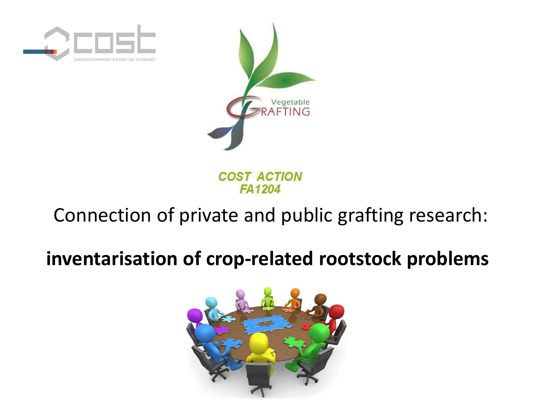



**COST ACTION FA1204** 

# Connection of private and public grafting research:

# **inventarisation of crop-related rootstock problems**

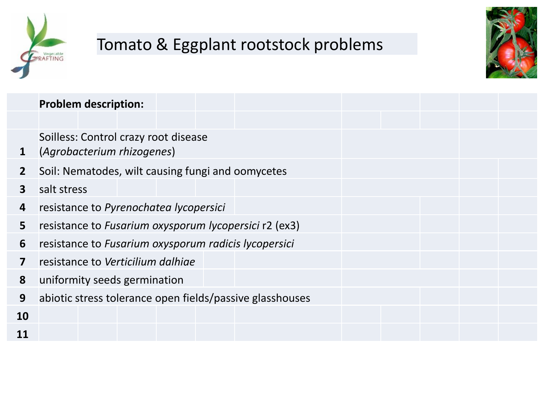

# Tomato & Eggplant rootstock problems



|                | <b>Problem description:</b>                              |
|----------------|----------------------------------------------------------|
|                |                                                          |
|                | Soilless: Control crazy root disease                     |
| $\mathbf 1$    | (Agrobacterium rhizogenes)                               |
| $\overline{2}$ | Soil: Nematodes, wilt causing fungi and oomycetes        |
| 3              | salt stress                                              |
| 4              | resistance to Pyrenochatea lycopersici                   |
| 5              | resistance to Fusarium oxysporum lycopersici r2 (ex3)    |
| 6              | resistance to Fusarium oxysporum radicis lycopersici     |
| 7              | resistance to Verticilium dalhige                        |
| 8              | uniformity seeds germination                             |
| 9              | abiotic stress tolerance open fields/passive glasshouses |
| 10             |                                                          |
| 11             |                                                          |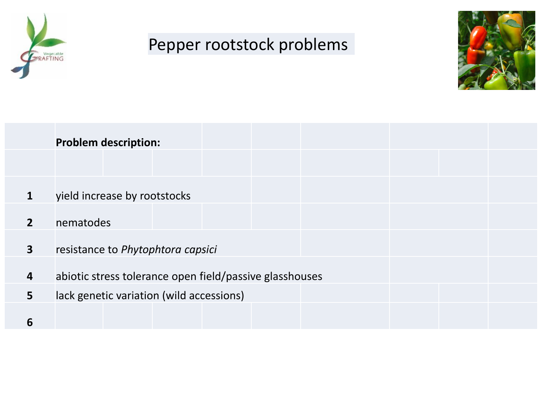

#### Pepper rootstock problems



|                         | <b>Problem description:</b>                             |
|-------------------------|---------------------------------------------------------|
|                         |                                                         |
|                         | yield increase by rootstocks                            |
| $\mathbf{2}$            | nematodes                                               |
| $\overline{\mathbf{3}}$ | resistance to Phytophtora capsici                       |
| 4                       | abiotic stress tolerance open field/passive glasshouses |
| 5                       | lack genetic variation (wild accessions)                |
| 6                       |                                                         |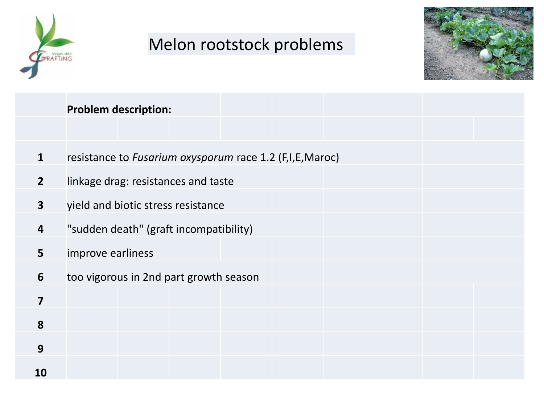

## Melon rootstock problems



|                         | <b>Problem description:</b>                             |
|-------------------------|---------------------------------------------------------|
|                         |                                                         |
| 1                       | resistance to Fusarium oxysporum race 1.2 (F,I,E,Maroc) |
| $\overline{2}$          | linkage drag: resistances and taste                     |
| $\overline{\mathbf{3}}$ | yield and biotic stress resistance                      |
| $\boldsymbol{4}$        | "sudden death" (graft incompatibility)                  |
| 5                       | improve earliness                                       |
| 6                       | too vigorous in 2nd part growth season                  |
| 7                       |                                                         |
| 8                       |                                                         |
| 9                       |                                                         |
| 10                      |                                                         |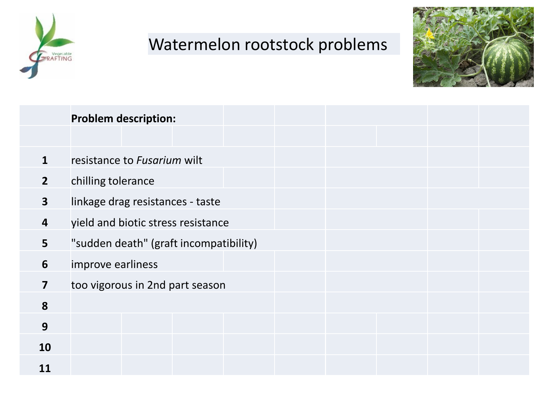

#### Watermelon rootstock problems



|                         | <b>Problem description:</b>            |
|-------------------------|----------------------------------------|
|                         |                                        |
| $\mathbf{1}$            | resistance to Fusarium wilt            |
| 2 <sup>2</sup>          | chilling tolerance                     |
| $\mathbf{3}$            | linkage drag resistances - taste       |
| 4                       | yield and biotic stress resistance     |
| 5                       | "sudden death" (graft incompatibility) |
| 6                       | improve earliness                      |
| $\overline{\mathbf{z}}$ | too vigorous in 2nd part season        |
| 8                       |                                        |
| 9                       |                                        |
| 10                      |                                        |
| 11                      |                                        |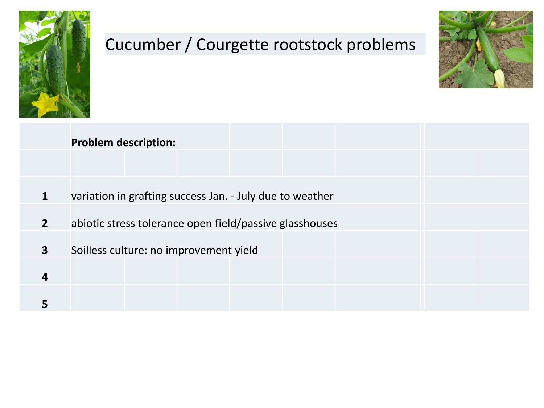

## Cucumber / Courgette rootstock problems



|                         | <b>Problem description:</b>                              |
|-------------------------|----------------------------------------------------------|
| 1                       | variation in grafting success Jan. - July due to weather |
| $\overline{2}$          | abiotic stress tolerance open field/passive glasshouses  |
| $\overline{\mathbf{3}}$ | Soilless culture: no improvement yield                   |
| 4                       |                                                          |
|                         |                                                          |